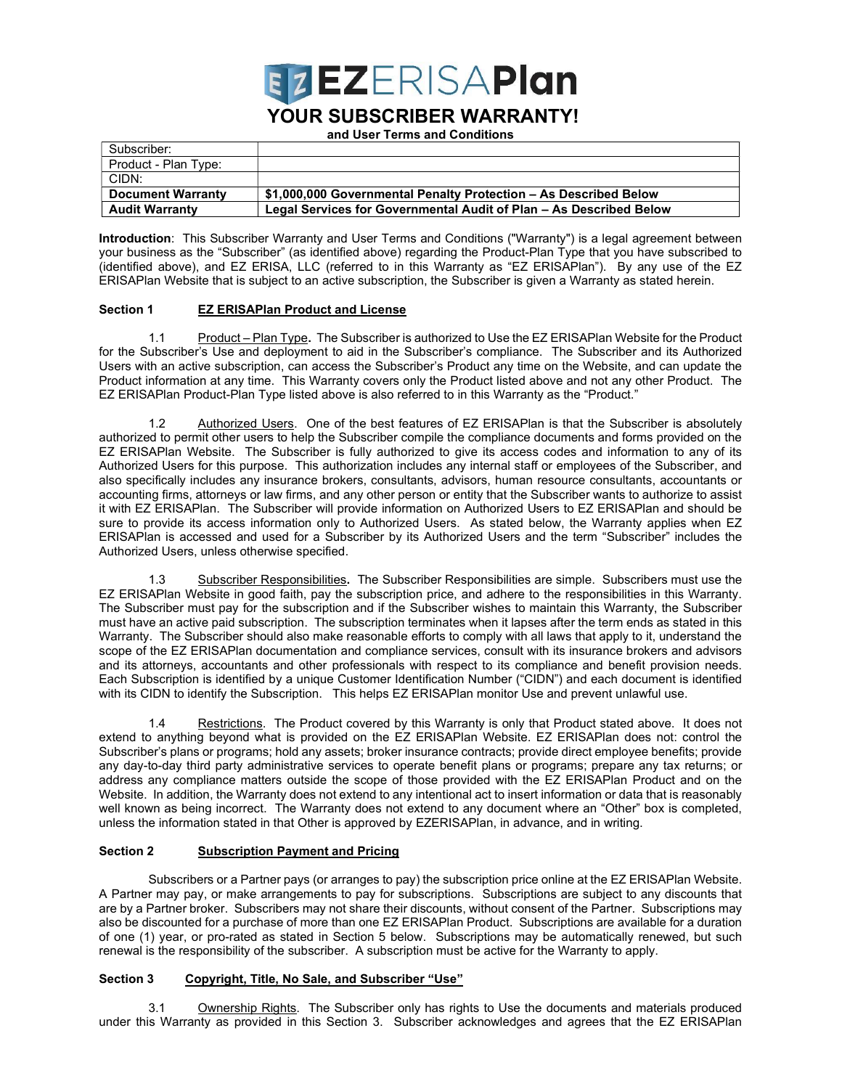

# YOUR SUBSCRIBER WARRANTY!

and User Terms and Conditions

| Subscriber:              |                                                                    |
|--------------------------|--------------------------------------------------------------------|
| Product - Plan Type:     |                                                                    |
| CIDN:                    |                                                                    |
| <b>Document Warranty</b> | \$1,000,000 Governmental Penalty Protection - As Described Below   |
| <b>Audit Warranty</b>    | Legal Services for Governmental Audit of Plan – As Described Below |

Introduction: This Subscriber Warranty and User Terms and Conditions ("Warranty") is a legal agreement between your business as the "Subscriber" (as identified above) regarding the Product-Plan Type that you have subscribed to (identified above), and EZ ERISA, LLC (referred to in this Warranty as "EZ ERISAPlan"). By any use of the EZ ERISAPlan Website that is subject to an active subscription, the Subscriber is given a Warranty as stated herein.

## Section 1 EZ ERISAPIan Product and License

1.1 Product – Plan Type. The Subscriber is authorized to Use the EZ ERISAPlan Website for the Product for the Subscriber's Use and deployment to aid in the Subscriber's compliance. The Subscriber and its Authorized Users with an active subscription, can access the Subscriber's Product any time on the Website, and can update the Product information at any time. This Warranty covers only the Product listed above and not any other Product. The EZ ERISAPlan Product-Plan Type listed above is also referred to in this Warranty as the "Product."

1.2 Authorized Users. One of the best features of EZ ERISAPlan is that the Subscriber is absolutely authorized to permit other users to help the Subscriber compile the compliance documents and forms provided on the EZ ERISAPlan Website. The Subscriber is fully authorized to give its access codes and information to any of its Authorized Users for this purpose. This authorization includes any internal staff or employees of the Subscriber, and also specifically includes any insurance brokers, consultants, advisors, human resource consultants, accountants or accounting firms, attorneys or law firms, and any other person or entity that the Subscriber wants to authorize to assist it with EZ ERISAPlan. The Subscriber will provide information on Authorized Users to EZ ERISAPlan and should be sure to provide its access information only to Authorized Users. As stated below, the Warranty applies when EZ ERISAPlan is accessed and used for a Subscriber by its Authorized Users and the term "Subscriber" includes the Authorized Users, unless otherwise specified.

1.3 Subscriber Responsibilities. The Subscriber Responsibilities are simple. Subscribers must use the EZ ERISAPlan Website in good faith, pay the subscription price, and adhere to the responsibilities in this Warranty. The Subscriber must pay for the subscription and if the Subscriber wishes to maintain this Warranty, the Subscriber must have an active paid subscription. The subscription terminates when it lapses after the term ends as stated in this Warranty. The Subscriber should also make reasonable efforts to comply with all laws that apply to it, understand the scope of the EZ ERISAPlan documentation and compliance services, consult with its insurance brokers and advisors and its attorneys, accountants and other professionals with respect to its compliance and benefit provision needs. Each Subscription is identified by a unique Customer Identification Number ("CIDN") and each document is identified with its CIDN to identify the Subscription. This helps EZ ERISAPlan monitor Use and prevent unlawful use.

Restrictions. The Product covered by this Warranty is only that Product stated above. It does not extend to anything beyond what is provided on the EZ ERISAPlan Website. EZ ERISAPlan does not: control the Subscriber's plans or programs; hold any assets; broker insurance contracts; provide direct employee benefits; provide any day-to-day third party administrative services to operate benefit plans or programs; prepare any tax returns; or address any compliance matters outside the scope of those provided with the EZ ERISAPlan Product and on the Website. In addition, the Warranty does not extend to any intentional act to insert information or data that is reasonably well known as being incorrect. The Warranty does not extend to any document where an "Other" box is completed, unless the information stated in that Other is approved by EZERISAPlan, in advance, and in writing.

## Section 2 Subscription Payment and Pricing

Subscribers or a Partner pays (or arranges to pay) the subscription price online at the EZ ERISAPlan Website. A Partner may pay, or make arrangements to pay for subscriptions. Subscriptions are subject to any discounts that are by a Partner broker. Subscribers may not share their discounts, without consent of the Partner. Subscriptions may also be discounted for a purchase of more than one EZ ERISAPlan Product. Subscriptions are available for a duration of one (1) year, or pro-rated as stated in Section 5 below. Subscriptions may be automatically renewed, but such renewal is the responsibility of the subscriber. A subscription must be active for the Warranty to apply.

## Section 3 Copyright, Title, No Sale, and Subscriber "Use"

3.1 Ownership Rights. The Subscriber only has rights to Use the documents and materials produced under this Warranty as provided in this Section 3. Subscriber acknowledges and agrees that the EZ ERISAPlan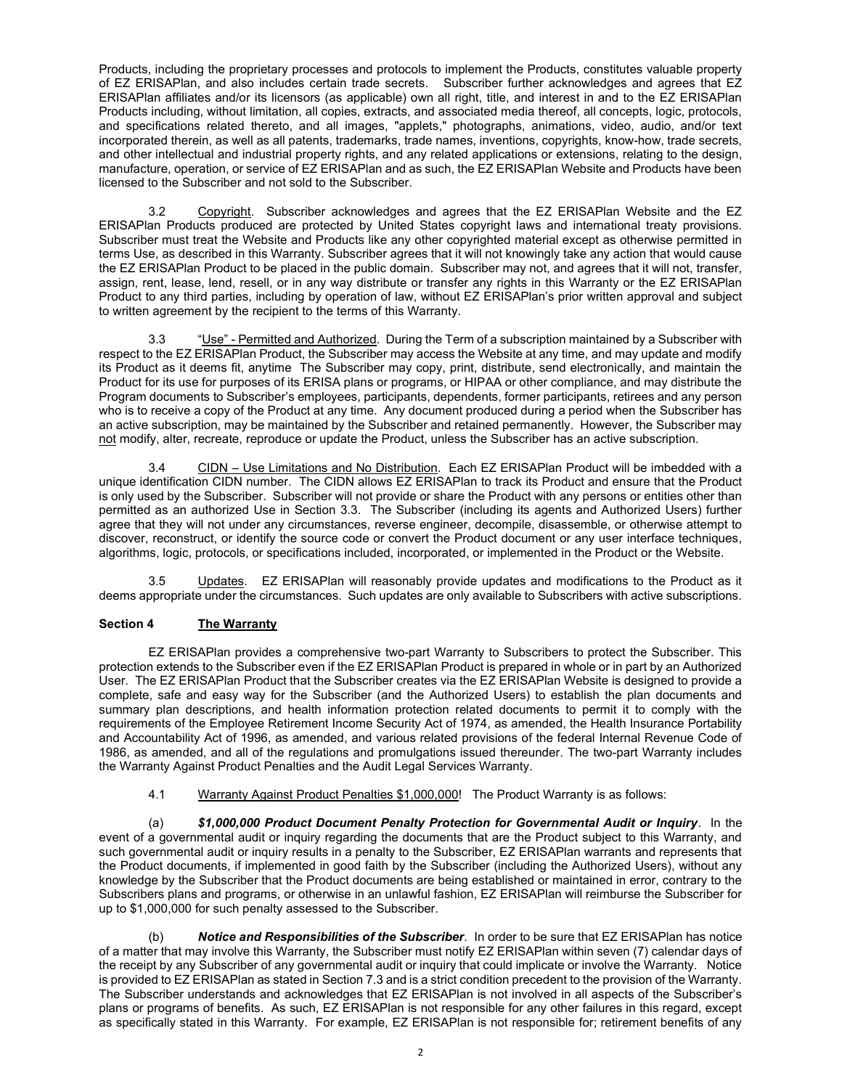Products, including the proprietary processes and protocols to implement the Products, constitutes valuable property of EZ ERISAPlan, and also includes certain trade secrets. Subscriber further acknowledges and agrees that EZ ERISAPlan affiliates and/or its licensors (as applicable) own all right, title, and interest in and to the EZ ERISAPlan Products including, without limitation, all copies, extracts, and associated media thereof, all concepts, logic, protocols, and specifications related thereto, and all images, "applets," photographs, animations, video, audio, and/or text incorporated therein, as well as all patents, trademarks, trade names, inventions, copyrights, know-how, trade secrets, and other intellectual and industrial property rights, and any related applications or extensions, relating to the design, manufacture, operation, or service of EZ ERISAPlan and as such, the EZ ERISAPlan Website and Products have been licensed to the Subscriber and not sold to the Subscriber.

3.2 Copyright. Subscriber acknowledges and agrees that the EZ ERISAPlan Website and the EZ ERISAPlan Products produced are protected by United States copyright laws and international treaty provisions. Subscriber must treat the Website and Products like any other copyrighted material except as otherwise permitted in terms Use, as described in this Warranty. Subscriber agrees that it will not knowingly take any action that would cause the EZ ERISAPlan Product to be placed in the public domain. Subscriber may not, and agrees that it will not, transfer, assign, rent, lease, lend, resell, or in any way distribute or transfer any rights in this Warranty or the EZ ERISAPlan Product to any third parties, including by operation of law, without EZ ERISAPlan's prior written approval and subject to written agreement by the recipient to the terms of this Warranty.

3.3 "Use" - Permitted and Authorized. During the Term of a subscription maintained by a Subscriber with respect to the EZ ERISAPlan Product, the Subscriber may access the Website at any time, and may update and modify its Product as it deems fit, anytime The Subscriber may copy, print, distribute, send electronically, and maintain the Product for its use for purposes of its ERISA plans or programs, or HIPAA or other compliance, and may distribute the Program documents to Subscriber's employees, participants, dependents, former participants, retirees and any person who is to receive a copy of the Product at any time. Any document produced during a period when the Subscriber has an active subscription, may be maintained by the Subscriber and retained permanently. However, the Subscriber may not modify, alter, recreate, reproduce or update the Product, unless the Subscriber has an active subscription.

3.4 CIDN – Use Limitations and No Distribution. Each EZ ERISAPlan Product will be imbedded with a unique identification CIDN number. The CIDN allows EZ ERISAPlan to track its Product and ensure that the Product is only used by the Subscriber. Subscriber will not provide or share the Product with any persons or entities other than permitted as an authorized Use in Section 3.3. The Subscriber (including its agents and Authorized Users) further agree that they will not under any circumstances, reverse engineer, decompile, disassemble, or otherwise attempt to discover, reconstruct, or identify the source code or convert the Product document or any user interface techniques, algorithms, logic, protocols, or specifications included, incorporated, or implemented in the Product or the Website.

3.5 Updates. EZ ERISAPlan will reasonably provide updates and modifications to the Product as it deems appropriate under the circumstances. Such updates are only available to Subscribers with active subscriptions.

## Section 4 The Warranty

 EZ ERISAPlan provides a comprehensive two-part Warranty to Subscribers to protect the Subscriber. This protection extends to the Subscriber even if the EZ ERISAPlan Product is prepared in whole or in part by an Authorized User. The EZ ERISAPlan Product that the Subscriber creates via the EZ ERISAPlan Website is designed to provide a complete, safe and easy way for the Subscriber (and the Authorized Users) to establish the plan documents and summary plan descriptions, and health information protection related documents to permit it to comply with the requirements of the Employee Retirement Income Security Act of 1974, as amended, the Health Insurance Portability and Accountability Act of 1996, as amended, and various related provisions of the federal Internal Revenue Code of 1986, as amended, and all of the regulations and promulgations issued thereunder. The two-part Warranty includes the Warranty Against Product Penalties and the Audit Legal Services Warranty.

4.1 Warranty Against Product Penalties \$1,000,000! The Product Warranty is as follows:

(a) \$1,000,000 Product Document Penalty Protection for Governmental Audit or Inquiry. In the event of a governmental audit or inquiry regarding the documents that are the Product subject to this Warranty, and such governmental audit or inquiry results in a penalty to the Subscriber, EZ ERISAPlan warrants and represents that the Product documents, if implemented in good faith by the Subscriber (including the Authorized Users), without any knowledge by the Subscriber that the Product documents are being established or maintained in error, contrary to the Subscribers plans and programs, or otherwise in an unlawful fashion, EZ ERISAPlan will reimburse the Subscriber for up to \$1,000,000 for such penalty assessed to the Subscriber.

(b) Notice and Responsibilities of the Subscriber. In order to be sure that EZ ERISAPlan has notice of a matter that may involve this Warranty, the Subscriber must notify EZ ERISAPlan within seven (7) calendar days of the receipt by any Subscriber of any governmental audit or inquiry that could implicate or involve the Warranty. Notice is provided to EZ ERISAPlan as stated in Section 7.3 and is a strict condition precedent to the provision of the Warranty. The Subscriber understands and acknowledges that EZ ERISAPlan is not involved in all aspects of the Subscriber's plans or programs of benefits. As such, EZ ERISAPlan is not responsible for any other failures in this regard, except as specifically stated in this Warranty. For example, EZ ERISAPlan is not responsible for; retirement benefits of any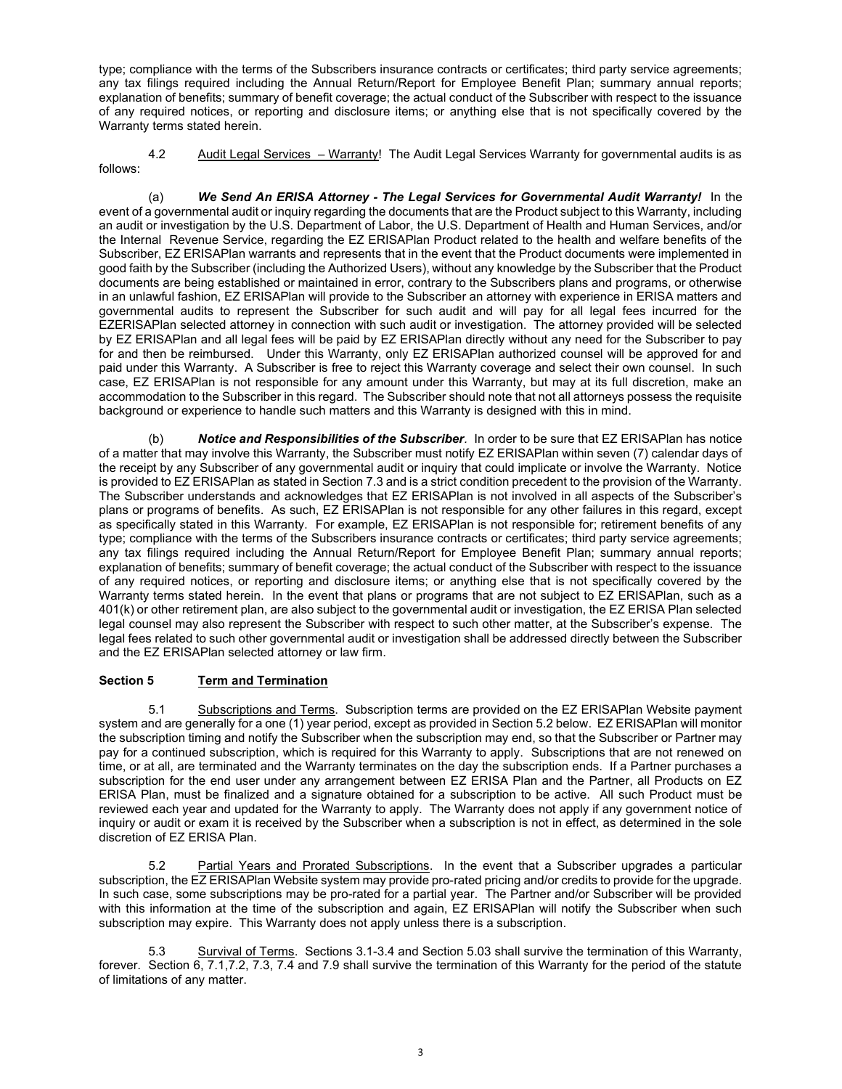type; compliance with the terms of the Subscribers insurance contracts or certificates; third party service agreements; any tax filings required including the Annual Return/Report for Employee Benefit Plan; summary annual reports; explanation of benefits; summary of benefit coverage; the actual conduct of the Subscriber with respect to the issuance of any required notices, or reporting and disclosure items; or anything else that is not specifically covered by the Warranty terms stated herein.

4.2 Audit Legal Services – Warranty! The Audit Legal Services Warranty for governmental audits is as follows:

(a) We Send An ERISA Attorney - The Legal Services for Governmental Audit Warranty! In the event of a governmental audit or inquiry regarding the documents that are the Product subject to this Warranty, including an audit or investigation by the U.S. Department of Labor, the U.S. Department of Health and Human Services, and/or the Internal Revenue Service, regarding the EZ ERISAPlan Product related to the health and welfare benefits of the Subscriber, EZ ERISAPlan warrants and represents that in the event that the Product documents were implemented in good faith by the Subscriber (including the Authorized Users), without any knowledge by the Subscriber that the Product documents are being established or maintained in error, contrary to the Subscribers plans and programs, or otherwise in an unlawful fashion, EZ ERISAPlan will provide to the Subscriber an attorney with experience in ERISA matters and governmental audits to represent the Subscriber for such audit and will pay for all legal fees incurred for the EZERISAPlan selected attorney in connection with such audit or investigation. The attorney provided will be selected by EZ ERISAPlan and all legal fees will be paid by EZ ERISAPlan directly without any need for the Subscriber to pay for and then be reimbursed. Under this Warranty, only EZ ERISAPlan authorized counsel will be approved for and paid under this Warranty. A Subscriber is free to reject this Warranty coverage and select their own counsel. In such case, EZ ERISAPlan is not responsible for any amount under this Warranty, but may at its full discretion, make an accommodation to the Subscriber in this regard. The Subscriber should note that not all attorneys possess the requisite background or experience to handle such matters and this Warranty is designed with this in mind.

(b) Notice and Responsibilities of the Subscriber. In order to be sure that EZ ERISAPlan has notice of a matter that may involve this Warranty, the Subscriber must notify EZ ERISAPlan within seven (7) calendar days of the receipt by any Subscriber of any governmental audit or inquiry that could implicate or involve the Warranty. Notice is provided to EZ ERISAPlan as stated in Section 7.3 and is a strict condition precedent to the provision of the Warranty. The Subscriber understands and acknowledges that EZ ERISAPlan is not involved in all aspects of the Subscriber's plans or programs of benefits. As such, EZ ERISAPlan is not responsible for any other failures in this regard, except as specifically stated in this Warranty. For example, EZ ERISAPlan is not responsible for; retirement benefits of any type; compliance with the terms of the Subscribers insurance contracts or certificates; third party service agreements; any tax filings required including the Annual Return/Report for Employee Benefit Plan; summary annual reports; explanation of benefits; summary of benefit coverage; the actual conduct of the Subscriber with respect to the issuance of any required notices, or reporting and disclosure items; or anything else that is not specifically covered by the Warranty terms stated herein. In the event that plans or programs that are not subject to EZ ERISAPlan, such as a 401(k) or other retirement plan, are also subject to the governmental audit or investigation, the EZ ERISA Plan selected legal counsel may also represent the Subscriber with respect to such other matter, at the Subscriber's expense. The legal fees related to such other governmental audit or investigation shall be addressed directly between the Subscriber and the EZ ERISAPlan selected attorney or law firm.

## Section 5 Term and Termination

5.1 Subscriptions and Terms. Subscription terms are provided on the EZ ERISAPlan Website payment system and are generally for a one (1) year period, except as provided in Section 5.2 below. EZ ERISAPlan will monitor the subscription timing and notify the Subscriber when the subscription may end, so that the Subscriber or Partner may pay for a continued subscription, which is required for this Warranty to apply. Subscriptions that are not renewed on time, or at all, are terminated and the Warranty terminates on the day the subscription ends. If a Partner purchases a subscription for the end user under any arrangement between EZ ERISA Plan and the Partner, all Products on EZ ERISA Plan, must be finalized and a signature obtained for a subscription to be active. All such Product must be reviewed each year and updated for the Warranty to apply. The Warranty does not apply if any government notice of inquiry or audit or exam it is received by the Subscriber when a subscription is not in effect, as determined in the sole discretion of EZ ERISA Plan.

5.2 Partial Years and Prorated Subscriptions. In the event that a Subscriber upgrades a particular subscription, the EZ ERISAPlan Website system may provide pro-rated pricing and/or credits to provide for the upgrade. In such case, some subscriptions may be pro-rated for a partial year. The Partner and/or Subscriber will be provided with this information at the time of the subscription and again, EZ ERISAPlan will notify the Subscriber when such subscription may expire. This Warranty does not apply unless there is a subscription.

5.3 Survival of Terms. Sections 3.1-3.4 and Section 5.03 shall survive the termination of this Warranty, forever. Section  $6, 7.1, 7.2, 7.3, 7.4$  and 7.9 shall survive the termination of this Warranty for the period of the statute of limitations of any matter.